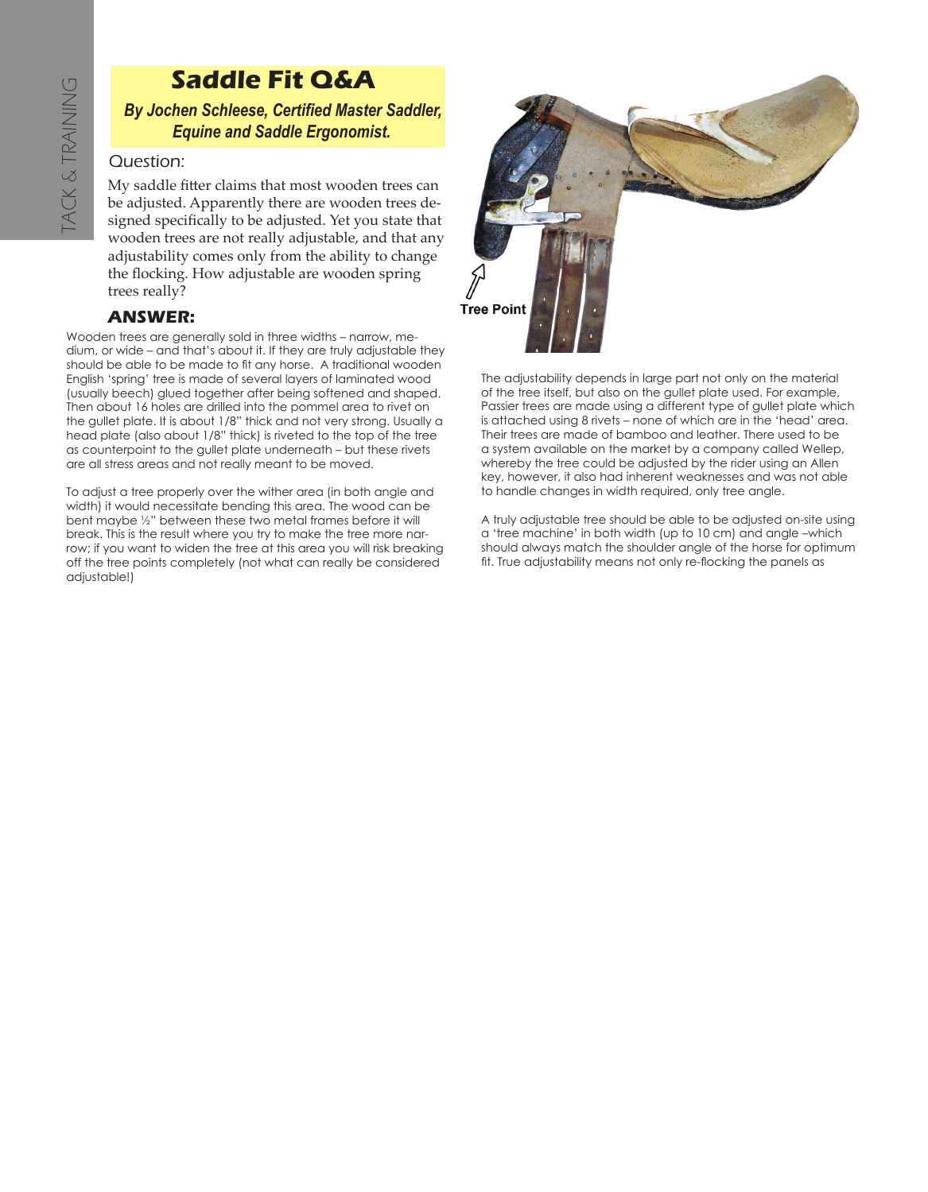## **Saddle Fit Q&A**

*By Jochen Schleese, Certified Master Saddler, Equine and Saddle Ergonomist.*

## Question:

My saddle fitter claims that most wooden trees can be adjusted. Apparently there are wooden trees designed specifically to be adjusted. Yet you state that wooden trees are not really adjustable, and that any adjustability comes only from the ability to change the flocking. How adjustable are wooden spring trees really?

## **ANSWER:**

Wooden trees are generally sold in three widths – narrow, medium, or wide – and that's about it. If they are truly adjustable they should be able to be made to fit any horse. A traditional wooden English 'spring' tree is made of several layers of laminated wood (usually beech) glued together after being softened and shaped. Then about 16 holes are drilled into the pommel area to rivet on the gullet plate. It is about 1/8" thick and not very strong. Usually a head plate (also about 1/8" thick) is riveted to the top of the tree as counterpoint to the gullet plate underneath – but these rivets are all stress areas and not really meant to be moved. **B**<br>
DU My be a sign wood adju the 1<br>
tree:<br> **AN**<br>
Wooden tree:<br> **AN**<br>
Wooden tree:<br> **AN**<br>
Wooden tree:<br> **AN**<br>
Wooden tree:<br>
Supplier by the about<br>
the guilet place of scounterp<br>
as counterp<br>
as counterp<br>
To adjust a t<br>
To

To adjust a tree properly over the wither area (in both angle and width) it would necessitate bending this area. The wood can be bent maybe ½" between these two metal frames before it will break. This is the result where you try to make the tree more narrow; if you want to widen the tree at this area you will risk breaking off the tree points completely (not what can really be considered adjustable!)



The adjustability depends in large part not only on the material of the tree itself, but also on the gullet plate used. For example, Passier trees are made using a different type of gullet plate which is attached using 8 rivets – none of which are in the 'head' area. Their trees are made of bamboo and leather. There used to be a system available on the market by a company called Wellep, whereby the tree could be adjusted by the rider using an Allen key, however, it also had inherent weaknesses and was not able to handle changes in width required, only tree angle.

A truly adjustable tree should be able to be adjusted on-site using a 'tree machine' in both width (up to 10 cm) and angle –which should always match the shoulder angle of the horse for optimum fit. True adjustability means not only re-flocking the panels as